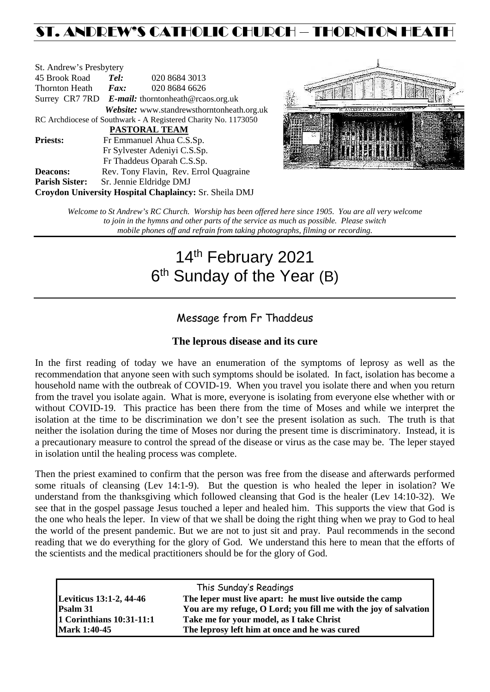## ST. ANDREW'S CATHOLIC CHURCH – THORNTON HEAT

| St. Andrew's Presbytery                                        |                                                      |                                            |  |  |  |
|----------------------------------------------------------------|------------------------------------------------------|--------------------------------------------|--|--|--|
| 45 Brook Road                                                  | Tel:                                                 | 020 8684 3013                              |  |  |  |
| Thornton Heath                                                 | $\boldsymbol{Fax:}$                                  | 020 8684 6626                              |  |  |  |
|                                                                | Surrey CR7 7RD $E$ -mail: thorntonheath@rcaos.org.uk |                                            |  |  |  |
|                                                                |                                                      | Website: www.standrewsthorntonheath.org.uk |  |  |  |
| RC Archdiocese of Southwark - A Registered Charity No. 1173050 |                                                      |                                            |  |  |  |
| <b>PASTORAL TEAM</b>                                           |                                                      |                                            |  |  |  |
| <b>Priests:</b>                                                |                                                      | Fr Emmanuel Ahua C.S.Sp.                   |  |  |  |
|                                                                | Fr Sylvester Adeniyi C.S.Sp.                         |                                            |  |  |  |
|                                                                |                                                      | Fr Thaddeus Oparah C.S.Sp.                 |  |  |  |
| <b>Deacons:</b>                                                |                                                      | Rev. Tony Flavin, Rev. Errol Quagraine     |  |  |  |
| <b>Parish Sister:</b>                                          |                                                      | Sr. Jennie Eldridge DMJ                    |  |  |  |
| <b>Croydon University Hospital Chaplaincy: Sr. Sheila DMJ</b>  |                                                      |                                            |  |  |  |



*Welcome to St Andrew's RC Church. Worship has been offered here since 1905. You are all very welcome to join in the hymns and other parts of the service as much as possible. Please switch mobile phones off and refrain from taking photographs, filming or recording.*

# 14<sup>th</sup> February 2021 6<sup>th</sup> Sunday of the Year (B)

## Message from Fr Thaddeus

### **The leprous disease and its cure**

In the first reading of today we have an enumeration of the symptoms of leprosy as well as the recommendation that anyone seen with such symptoms should be isolated. In fact, isolation has become a household name with the outbreak of COVID-19. When you travel you isolate there and when you return from the travel you isolate again. What is more, everyone is isolating from everyone else whether with or without COVID-19. This practice has been there from the time of Moses and while we interpret the isolation at the time to be discrimination we don't see the present isolation as such. The truth is that neither the isolation during the time of Moses nor during the present time is discriminatory. Instead, it is a precautionary measure to control the spread of the disease or virus as the case may be. The leper stayed in isolation until the healing process was complete.

Then the priest examined to confirm that the person was free from the disease and afterwards performed some rituals of cleansing (Lev 14:1-9). But the question is who healed the leper in isolation? We understand from the thanksgiving which followed cleansing that God is the healer (Lev 14:10-32). We see that in the gospel passage Jesus touched a leper and healed him. This supports the view that God is the one who heals the leper. In view of that we shall be doing the right thing when we pray to God to heal the world of the present pandemic. But we are not to just sit and pray. Paul recommends in the second reading that we do everything for the glory of God. We understand this here to mean that the efforts of the scientists and the medical practitioners should be for the glory of God.

| This Sunday's Readings                                                                     |                                                                  |  |  |  |
|--------------------------------------------------------------------------------------------|------------------------------------------------------------------|--|--|--|
| <b>Leviticus 13:1-2, 44-46</b><br>The leper must live apart: he must live outside the camp |                                                                  |  |  |  |
| Psalm 31                                                                                   | You are my refuge, O Lord; you fill me with the joy of salvation |  |  |  |
| 1 Corinthians 10:31-11:1                                                                   | Take me for your model, as I take Christ                         |  |  |  |
| <b>Mark 1:40-45</b>                                                                        | The leprosy left him at once and he was cured                    |  |  |  |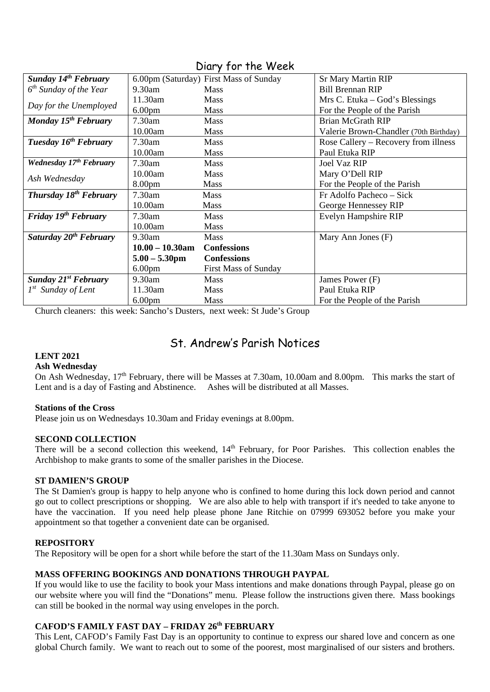| Sunday 14 <sup>th</sup> February   |                    | 6.00pm (Saturday) First Mass of Sunday | <b>Sr Mary Martin RIP</b>              |
|------------------------------------|--------------------|----------------------------------------|----------------------------------------|
| $6th$ Sunday of the Year           | 9.30am             | <b>Mass</b>                            | <b>Bill Brennan RIP</b>                |
| Day for the Unemployed             | 11.30am            | <b>Mass</b>                            | Mrs C. Etuka – God's Blessings         |
|                                    | 6.00 <sub>pm</sub> | <b>Mass</b>                            | For the People of the Parish           |
| Monday $15^{th}$ February          | 7.30am             | <b>Mass</b>                            | <b>Brian McGrath RIP</b>               |
|                                    | 10.00am            | <b>Mass</b>                            | Valerie Brown-Chandler (70th Birthday) |
| Tuesday 16 <sup>th</sup> February  | 7.30am             | <b>Mass</b>                            | Rose Callery – Recovery from illness   |
|                                    | 10.00am            | <b>Mass</b>                            | Paul Etuka RIP                         |
| Wednesday 17th February            | 7.30am             | <b>Mass</b>                            | <b>Joel Vaz RIP</b>                    |
| Ash Wednesday                      | 10.00am            | <b>Mass</b>                            | Mary O'Dell RIP                        |
|                                    | 8.00 <sub>pm</sub> | <b>Mass</b>                            | For the People of the Parish           |
| <b>Thursday 18th February</b>      | 7.30am             | <b>Mass</b>                            | Fr Adolfo Pacheco - Sick               |
|                                    | 10.00am            | <b>Mass</b>                            | George Hennessey RIP                   |
| Friday 19 <sup>th</sup> February   | $7.30$ am          | <b>Mass</b>                            | Evelyn Hampshire RIP                   |
|                                    | 10.00am            | <b>Mass</b>                            |                                        |
| Saturday 20 <sup>th</sup> February | 9.30am             | <b>Mass</b>                            | Mary Ann Jones (F)                     |
|                                    | $10.00 - 10.30$ am | <b>Confessions</b>                     |                                        |
|                                    | $5.00 - 5.30$ pm   | <b>Confessions</b>                     |                                        |
|                                    | 6.00 <sub>pm</sub> | <b>First Mass of Sunday</b>            |                                        |
| <b>Sunday 21st February</b>        | 9.30am             | <b>Mass</b>                            | James Power (F)                        |
| $1^{st}$ Sunday of Lent            | 11.30am            | <b>Mass</b>                            | Paul Etuka RIP                         |
|                                    | 6.00 <sub>pm</sub> | <b>Mass</b>                            | For the People of the Parish           |

Diary for the Week

Church cleaners: this week: Sancho's Dusters, next week: St Jude's Group

## St. Andrew's Parish Notices

#### **LENT 2021**

#### **Ash Wednesday**

On Ash Wednesday, 17<sup>th</sup> February, there will be Masses at 7.30am, 10.00am and 8.00pm. This marks the start of Lent and is a day of Fasting and Abstinence. Ashes will be distributed at all Masses.

#### **Stations of the Cross**

Please join us on Wednesdays 10.30am and Friday evenings at 8.00pm.

#### **SECOND COLLECTION**

There will be a second collection this weekend,  $14<sup>th</sup>$  February, for Poor Parishes. This collection enables the Archbishop to make grants to some of the smaller parishes in the Diocese.

#### **ST DAMIEN'S GROUP**

The St Damien's group is happy to help anyone who is confined to home during this lock down period and cannot go out to collect prescriptions or shopping. We are also able to help with transport if it's needed to take anyone to have the vaccination. If you need help please phone Jane Ritchie on 07999 693052 before you make your appointment so that together a convenient date can be organised.

#### **REPOSITORY**

The Repository will be open for a short while before the start of the 11.30am Mass on Sundays only.

#### **MASS OFFERING BOOKINGS AND DONATIONS THROUGH PAYPAL**

If you would like to use the facility to book your Mass intentions and make donations through Paypal, please go on our website where you will find the "Donations" menu. Please follow the instructions given there. Mass bookings can still be booked in the normal way using envelopes in the porch.

#### **CAFOD'S FAMILY FAST DAY – FRIDAY 26th FEBRUARY**

This Lent, CAFOD's Family Fast Day is an opportunity to continue to express our shared love and concern as one global Church family. We want to reach out to some of the poorest, most marginalised of our sisters and brothers.